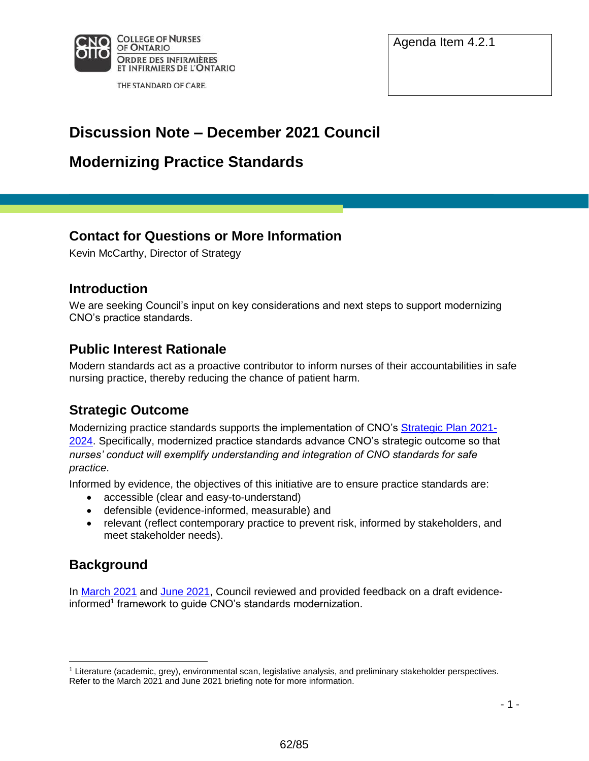

THE STANDARD OF CARE.

Agenda Item 4.2.1

# **Discussion Note – December 2021 Council**

# **Modernizing Practice Standards**

# **Contact for Questions or More Information**

Kevin McCarthy, Director of Strategy

### **Introduction**

We are seeking Council's input on key considerations and next steps to support modernizing CNO's practice standards.

# **Public Interest Rationale**

Modern standards act as a proactive contributor to inform nurses of their accountabilities in safe nursing practice, thereby reducing the chance of patient harm.

## **Strategic Outcome**

Modernizing practice standards supports the implementation of CNO's [Strategic Plan](https://www.cno.org/globalassets/docs/general/strategic-plan-2021.pdf) 2021- [2024](https://www.cno.org/globalassets/docs/general/strategic-plan-2021.pdf). Specifically, modernized practice standards advance CNO's strategic outcome so that *nurses' conduct will exemplify understanding and integration of CNO standards for safe practice*.

Informed by evidence, the objectives of this initiative are to ensure practice standards are:

- accessible (clear and easy-to-understand)
- defensible (evidence-informed, measurable) and
- relevant (reflect contemporary practice to prevent risk, informed by stakeholders, and meet stakeholder needs).

# **Background**

 $\overline{a}$ 

In [March 2021](https://www.cno.org/globalassets/trending-topics/modernizing-standards/council-briefing-202103.pdf) and [June](https://www.cno.org/globalassets/trending-topics/modernizing-standards/council-briefing-202106.pdf) 2021, Council reviewed and provided feedback on a draft evidenceinformed<sup>1</sup> framework to guide CNO's standards modernization.

<sup>1</sup> Literature (academic, grey), environmental scan, legislative analysis, and preliminary stakeholder perspectives. Refer to the March 2021 and June 2021 briefing note for more information.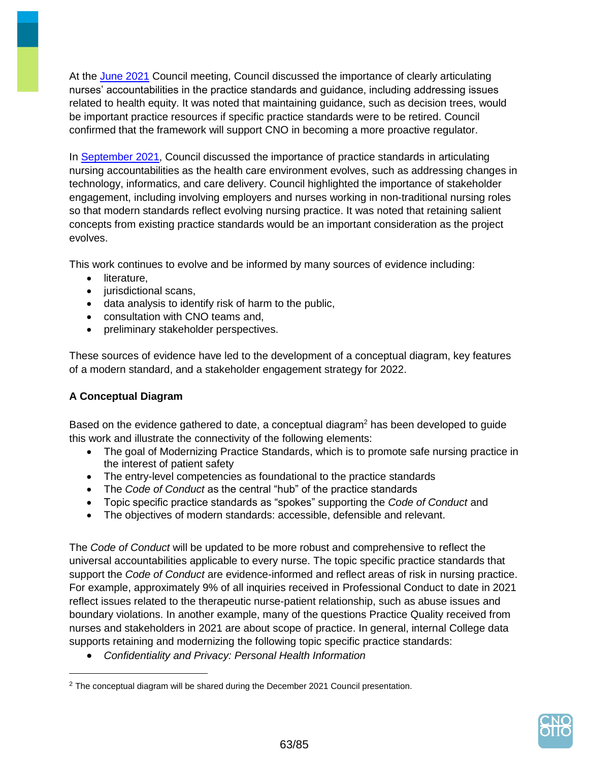At the June [2021](https://www.cno.org/globalassets/trending-topics/modernizing-standards/council-briefing-202106.pdf) Council meeting, Council discussed the importance of clearly articulating nurses' accountabilities in the practice standards and guidance, including addressing issues related to health equity. It was noted that maintaining guidance, such as decision trees, would be important practice resources if specific practice standards were to be retired. Council confirmed that the framework will support CNO in becoming a more proactive regulator.

In [September](https://www.cno.org/globalassets/trending-topics/modernizing-standards/council-briefing-202109.pdf) 2021, Council discussed the importance of practice standards in articulating nursing accountabilities as the health care environment evolves, such as addressing changes in technology, informatics, and care delivery. Council highlighted the importance of stakeholder engagement, including involving employers and nurses working in non-traditional nursing roles so that modern standards reflect evolving nursing practice. It was noted that retaining salient concepts from existing practice standards would be an important consideration as the project evolves.

This work continues to evolve and be informed by many sources of evidence including:

- literature,
- jurisdictional scans,
- data analysis to identify risk of harm to the public,
- consultation with CNO teams and,
- preliminary stakeholder perspectives.

These sources of evidence have led to the development of a conceptual diagram, key features of a modern standard, and a stakeholder engagement strategy for 2022.

#### **A Conceptual Diagram**

 $\overline{a}$ 

Based on the evidence gathered to date, a conceptual diagram<sup>2</sup> has been developed to quide this work and illustrate the connectivity of the following elements:

- The goal of Modernizing Practice Standards, which is to promote safe nursing practice in the interest of patient safety
- The entry-level competencies as foundational to the practice standards
- The *Code of Conduct* as the central "hub" of the practice standards
- Topic specific practice standards as "spokes" supporting the *Code of Conduct* and
- The objectives of modern standards: accessible, defensible and relevant.

The *Code of Conduct* will be updated to be more robust and comprehensive to reflect the universal accountabilities applicable to every nurse. The topic specific practice standards that support the *Code of Conduct* are evidence-informed and reflect areas of risk in nursing practice. For example, approximately 9% of all inquiries received in Professional Conduct to date in 2021 reflect issues related to the therapeutic nurse-patient relationship, such as abuse issues and boundary violations. In another example, many of the questions Practice Quality received from nurses and stakeholders in 2021 are about scope of practice. In general, internal College data supports retaining and modernizing the following topic specific practice standards:

*Confidentiality and Privacy: Personal Health Information*



<sup>&</sup>lt;sup>2</sup> The conceptual diagram will be shared during the December 2021 Council presentation.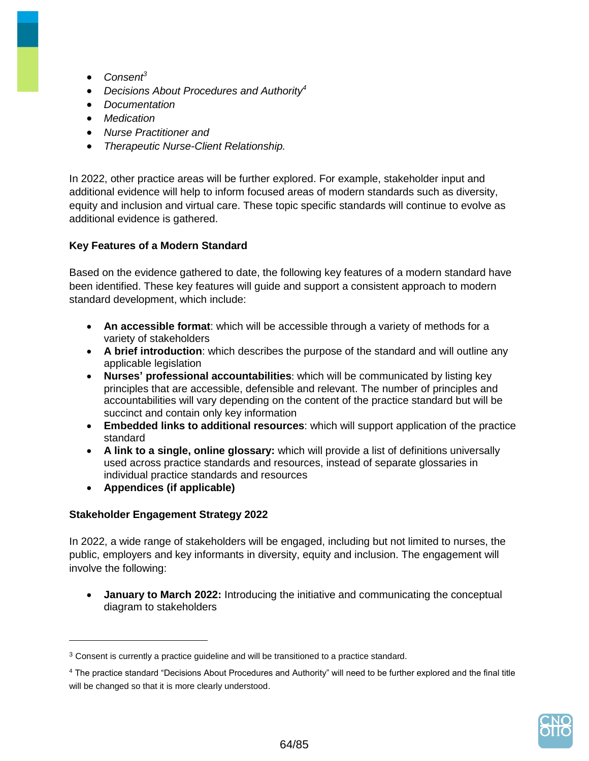- *Consent 3*
- *Decisions About Procedures and Authority 4*
- *Documentation*
- *Medication*
- *Nurse Practitioner and*
- *Therapeutic Nurse-Client Relationship.*

In 2022, other practice areas will be further explored. For example, stakeholder input and additional evidence will help to inform focused areas of modern standards such as diversity, equity and inclusion and virtual care. These topic specific standards will continue to evolve as additional evidence is gathered.

#### **Key Features of a Modern Standard**

Based on the evidence gathered to date, the following key features of a modern standard have been identified. These key features will guide and support a consistent approach to modern standard development, which include:

- **An accessible format**: which will be accessible through a variety of methods for a variety of stakeholders
- **A brief introduction**: which describes the purpose of the standard and will outline any applicable legislation
- **Nurses' professional accountabilities**: which will be communicated by listing key principles that are accessible, defensible and relevant. The number of principles and accountabilities will vary depending on the content of the practice standard but will be succinct and contain only key information
- **Embedded links to additional resources**: which will support application of the practice standard
- **A link to a single, online glossary:** which will provide a list of definitions universally used across practice standards and resources, instead of separate glossaries in individual practice standards and resources
- **Appendices (if applicable)**

#### **Stakeholder Engagement Strategy 2022**

In 2022, a wide range of stakeholders will be engaged, including but not limited to nurses, the public, employers and key informants in diversity, equity and inclusion. The engagement will involve the following:

 **January to March 2022:** Introducing the initiative and communicating the conceptual diagram to stakeholders

<sup>4</sup> The practice standard "Decisions About Procedures and Authority" will need to be further explored and the final title will be changed so that it is more clearly understood.



 $3$  Consent is currently a practice guideline and will be transitioned to a practice standard.